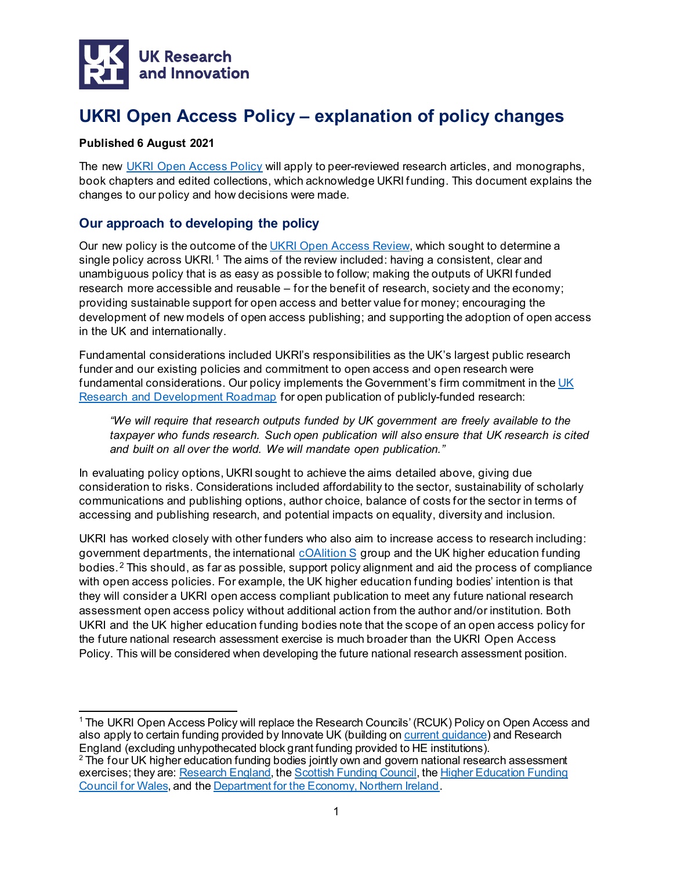

# **UKRI Open Access Policy – explanation of policy changes**

# **Published 6 August 2021**

The new UKRI Open Access Policy will apply to peer-reviewed research articles, and monographs, book chapters and edited collections, which acknowledge UKRI funding. This document explains the changes to our policy and how decisions were made.

# **Our approach to developing the policy**

Our new policy is the outcome of th[e UKRI Open Access Review,](https://www.ukri.org/our-work/supporting-healthy-research-and-innovation-culture/open-research/open-access-policies-review/) which sought to determine a single policy across UKRI.<sup>[1](#page-0-0)</sup> The aims of the review included: having a consistent, clear and unambiguous policy that is as easy as possible to follow; making the outputs of UKRI funded research more accessible and reusable – for the benefit of research, society and the economy; providing sustainable support for open access and better value for money; encouraging the development of new models of open access publishing; and supporting the adoption of open access in the UK and internationally.

Fundamental considerations included UKRI's responsibilities as the UK's largest public research funder and our existing policies and commitment to open access and open research were fundamental considerations. Our policy implements the Government's firm commitment in the UK [Research and Development Roadmap](https://www.gov.uk/government/publications/uk-research-and-development-roadmap) for open publication of publicly-funded research:

*"We will require that research outputs funded by UK government are freely available to the taxpayer who funds research. Such open publication will also ensure that UK research is cited and built on all over the world. We will mandate open publication."*

In evaluating policy options, UKRI sought to achieve the aims detailed above, giving due consideration to risks. Considerations included affordability to the sector, sustainability of scholarly communications and publishing options, author choice, balance of costs for the sector in terms of accessing and publishing research, and potential impacts on equality, diversity and inclusion.

UKRI has worked closely with other funders who also aim to increase access to research including: government departments, the international [cOAlition S](https://www.coalition-s.org/) group and the UK higher education funding bodies. [2](#page-0-1) This should, as far as possible, support policy alignment and aid the process of compliance with open access policies. For example, the UK higher education funding bodies' intention is that they will consider a UKRI open access compliant publication to meet any future national research assessment open access policy without additional action from the author and/or institution. Both UKRI and the UK higher education funding bodies note that the scope of an open access policy for the future national research assessment exercise is much broader than the UKRI Open Access Policy. This will be considered when developing the future national research assessment position.

<span id="page-0-0"></span><sup>1</sup> The UKRI Open Access Policy will replace the Research Councils' (RCUK) Policy on Open Access and also apply to certain funding provided by Innovate UK (building o[n current guidance](https://www.gov.uk/government/publications/innovate-uk-completing-your-application-project-costs-guidance/guidance-for-academics-applying-via-the-je-s-system#:%7E:text=Innovate%20UK%20supports%20the%20principle,within%20a%20project%27s%20collaboration%20agreement.)) and Research England (excluding unhypothecated block grant funding provided to HE institutions).

<span id="page-0-1"></span><sup>&</sup>lt;sup>2</sup> The four UK higher education funding bodies jointly own and govern national research assessment exercises; they are[: Research England](https://re.ukri.org/), the [Scottish Funding Council](http://www.sfc.ac.uk/), the Higher Education Funding [Council for Wales,](http://www.hefcw.ac.uk/) and the [Department for the Economy, Northern Ireland](http://www.economy-ni.gov.uk/).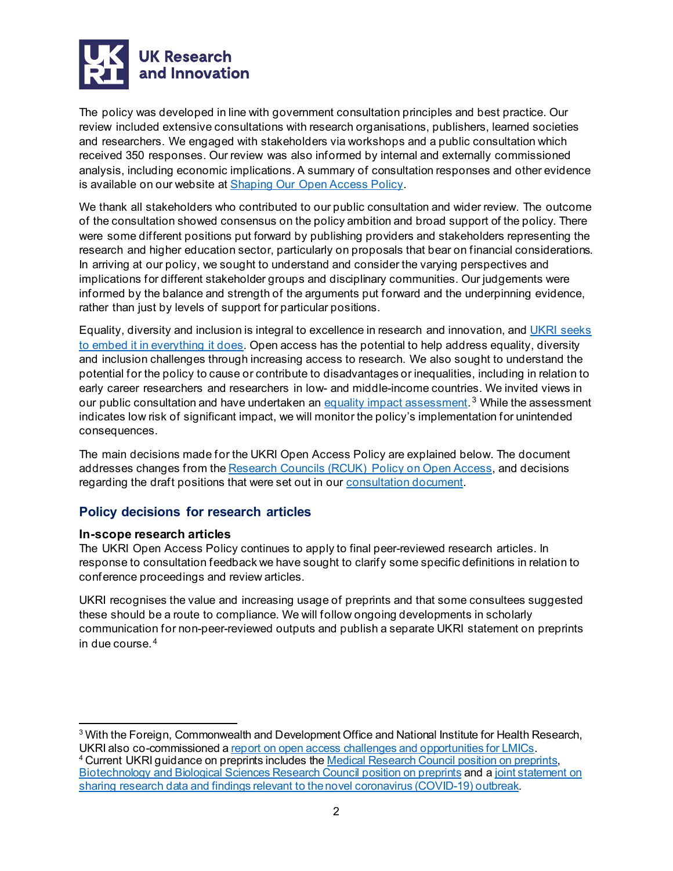

The policy was developed in line with government consultation principles and best practice. Our review included extensive consultations with research organisations, publishers, learned societies and researchers. We engaged with stakeholders via workshops and a public consultation which received 350 responses. Our review was also informed by internal and externally commissioned analysis, including economic implications. A summary of consultation responses and other evidence is available on our website at [Shaping Our Open Access Policy](https://www.ukri.org/our-work/supporting-healthy-research-and-innovation-culture/open-research/open-access-policies-review/).

We thank all stakeholders who contributed to our public consultation and wider review. The outcome of the consultation showed consensus on the policy ambition and broad support of the policy. There were some different positions put forward by publishing providers and stakeholders representing the research and higher education sector, particularly on proposals that bear on financial considerations. In arriving at our policy, we sought to understand and consider the varying perspectives and implications for different stakeholder groups and disciplinary communities. Our judgements were informed by the balance and strength of the arguments put forward and the underpinning evidence, rather than just by levels of support for particular positions.

Equality, diversity and inclusion is integral to excellence in research and innovation, and UKRI [seeks](https://www.ukri.org/our-work/supporting-healthy-research-and-innovation-culture/equality-diversity-and-inclusion/) [to embed it in everything it does.](https://www.ukri.org/our-work/supporting-healthy-research-and-innovation-culture/equality-diversity-and-inclusion/) Open access has the potential to help address equality, diversity and inclusion challenges through increasing access to research. We also sought to understand the potential for the policy to cause or contribute to disadvantages or inequalities, including in relation to early career researchers and researchers in low- and middle-income countries. We invited views in our public consultation and have undertaken an equality impact assessment.<sup>[3](#page-1-0)</sup> While the assessment indicates low risk of significant impact, we will monitor the policy's implementation for unintended consequences.

The main decisions made for the UKRI Open Access Policy are explained below. The document addresses changes from the Research Councils (RCUK) Policy on Open Access, and decisions regarding the draft positions that were set out in our [consultation](https://www.ukri.org/wp-content/uploads/2020/10/UKRI-231020-OpenAccessReview-Consultation25Mar20.pdf) document.

# **Policy decisions for research articles**

# **In-scope research articles**

The UKRI Open Access Policy continues to apply to final peer-reviewed research articles. In response to consultation feedback we have sought to clarify some specific definitions in relation to conference proceedings and review articles.

UKRI recognises the value and increasing usage of preprints and that some consultees suggested these should be a route to compliance. We will follow ongoing developments in scholarly communication for non-peer-reviewed outputs and publish a separate UKRI statement on preprints in due course. [4](#page-1-1)

<span id="page-1-1"></span><span id="page-1-0"></span><sup>3</sup> With the Foreign, Commonwealth and Development Office and National Institute for Health Research, UKRI also co-commissioned a <u>report on open access challenges and opportunities for LMICs</u>.<br><sup>4</sup> Current UKRI guidance on preprints includes th[e Medical Research Council position on preprints,](https://mrc.ukri.org/research/policies-and-guidance-for-researchers/preprints/) [Biotechnology and Biological Sciences Research Council position on preprints](https://bbsrc.ukri.org/about/policies-standards/access-research-outputs/) and a joint statement on [sharing research data and findings relevant to the novel coronavirus \(COVID-19\) outbreak](https://wellcome.org/coronavirus-covid-19/open-data).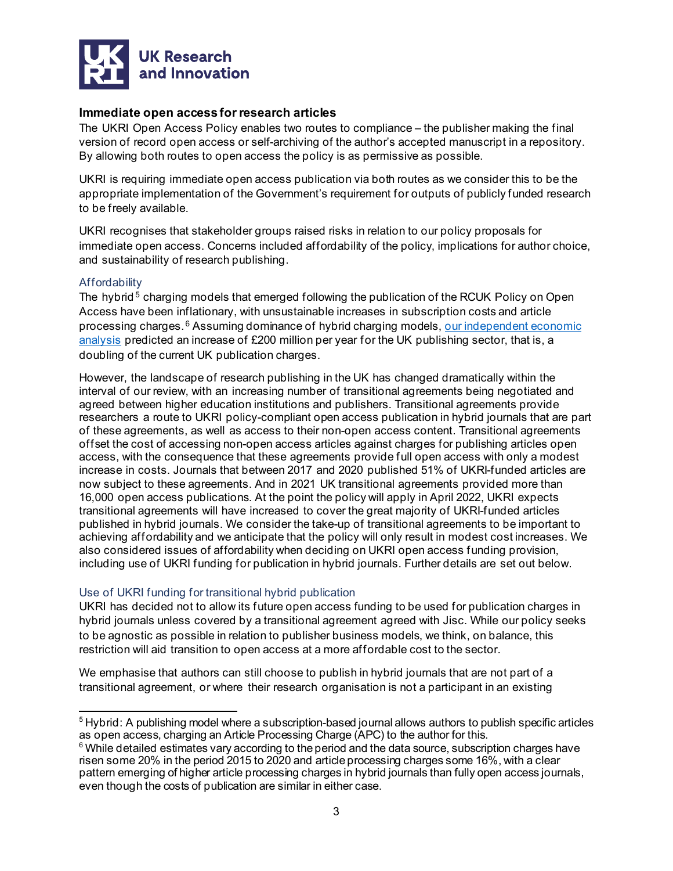

# **Immediate open access for research articles**

The UKRI Open Access Policy enables two routes to compliance – the publisher making the final version of record open access or self-archiving of the author's accepted manuscript in a repository. By allowing both routes to open access the policy is as permissive as possible.

UKRI is requiring immediate open access publication via both routes as we consider this to be the appropriate implementation of the Government's requirement for outputs of publicly funded research to be freely available.

UKRI recognises that stakeholder groups raised risks in relation to our policy proposals for immediate open access. Concerns included affordability of the policy, implications for author choice, and sustainability of research publishing.

# **Affordability**

The hybrid<sup>[5](#page-2-0)</sup> charging models that emerged following the publication of the RCUK Policy on Open Access have been inflationary, with unsustainable increases in subscription costs and article processing charges.<sup>[6](#page-2-1)</sup> Assuming dominance of hybrid charging models, our independent economic analysis predicted an increase of £200 million per year for the UK publishing sector, that is, a doubling of the current UK publication charges.

However, the landscape of research publishing in the UK has changed dramatically within the interval of our review, with an increasing number of transitional agreements being negotiated and agreed between higher education institutions and publishers. Transitional agreements provide researchers a route to UKRI policy-compliant open access publication in hybrid journals that are part of these agreements, as well as access to their non-open access content. Transitional agreements offset the cost of accessing non-open access articles against charges for publishing articles open access, with the consequence that these agreements provide full open access with only a modest increase in costs. Journals that between 2017 and 2020 published 51% of UKRI-funded articles are now subject to these agreements. And in 2021 UK transitional agreements provided more than 16,000 open access publications. At the point the policy will apply in April 2022, UKRI expects transitional agreements will have increased to cover the great majority of UKRI-funded articles published in hybrid journals. We consider the take-up of transitional agreements to be important to achieving affordability and we anticipate that the policy will only result in modest cost increases. We also considered issues of affordability when deciding on UKRI open access funding provision, including use of UKRI funding for publication in hybrid journals. Further details are set out below.

# Use of UKRI funding for transitional hybrid publication

UKRI has decided not to allow its future open access funding to be used for publication charges in hybrid journals unless covered by a transitional agreement agreed with Jisc. While our policy seeks to be agnostic as possible in relation to publisher business models, we think, on balance, this restriction will aid transition to open access at a more affordable cost to the sector.

We emphasise that authors can still choose to publish in hybrid journals that are not part of a transitional agreement, or where their research organisation is not a participant in an existing

<span id="page-2-0"></span><sup>5</sup> Hybrid: A publishing model where a subscription-based journal allows authors to publish specific articles as open access, charging an Article Processing Charge (APC) to the author for this.

<span id="page-2-1"></span> $6$  While detailed estimates vary according to the period and the data source, subscription charges have risen some 20% in the period 2015 to 2020 and article processing charges some 16%, with a clear pattern emerging of higher article processing charges in hybrid journals than fully open access journals, even though the costs of publication are similar in either case.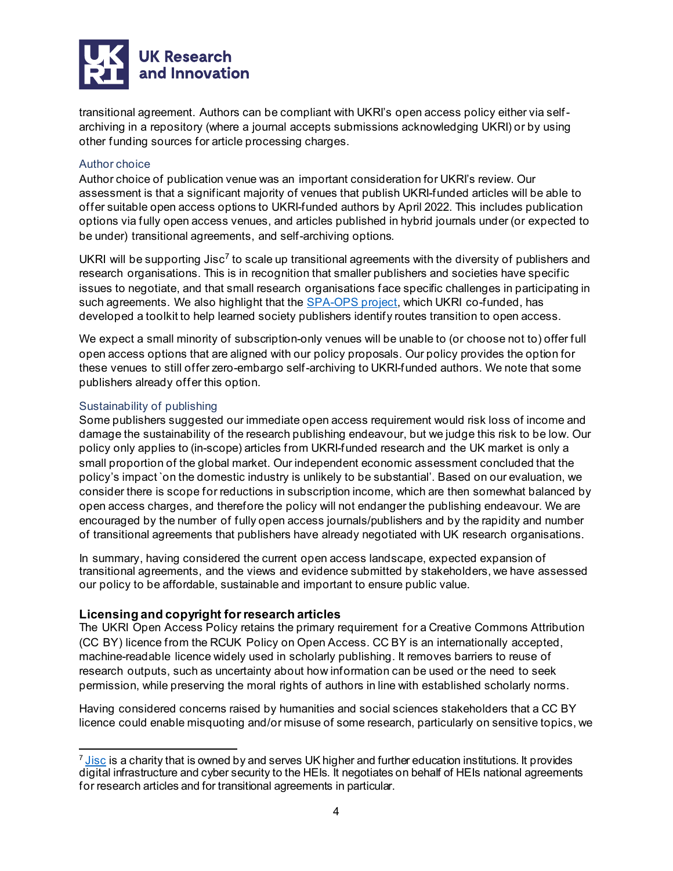

transitional agreement. Authors can be compliant with UKRI's open access policy either via selfarchiving in a repository (where a journal accepts submissions acknowledging UKRI) or by using other funding sources for article processing charges.

# Author choice

Author choice of publication venue was an important consideration for UKRI's review. Our assessment is that a significant majority of venues that publish UKRI-funded articles will be able to offer suitable open access options to UKRI-funded authors by April 2022. This includes publication options via fully open access venues, and articles published in hybrid journals under (or expected to be under) transitional agreements, and self-archiving options.

UKRI will be supporting  $\text{Jisc}^7$  $\text{Jisc}^7$  to scale up transitional agreements with the diversity of publishers and research organisations. This is in recognition that smaller publishers and societies have specific issues to negotiate, and that small research organisations face specific challenges in participating in such agreements. We also highlight that the [SPA-OPS project,](https://wellcome.figshare.com/collections/Society_Publishers_Accelerating_Open_access_and_Plan_S_SPA-OPS_project/4561397) which UKRI co-funded, has developed a toolkit to help learned society publishers identify routes transition to open access.

We expect a small minority of subscription-only venues will be unable to (or choose not to) offer full open access options that are aligned with our policy proposals. Our policy provides the option for these venues to still offer zero-embargo self-archiving to UKRI-funded authors. We note that some publishers already offer this option.

# Sustainability of publishing

Some publishers suggested our immediate open access requirement would risk loss of income and damage the sustainability of the research publishing endeavour, but we judge this risk to be low. Our policy only applies to (in-scope) articles from UKRI-funded research and the UK market is only a small proportion of the global market. Our independent economic assessment concluded that the policy's impact `on the domestic industry is unlikely to be substantial'. Based on our evaluation, we consider there is scope for reductions in subscription income, which are then somewhat balanced by open access charges, and therefore the policy will not endanger the publishing endeavour. We are encouraged by the number of fully open access journals/publishers and by the rapidity and number of transitional agreements that publishers have already negotiated with UK research organisations.

In summary, having considered the current open access landscape, expected expansion of transitional agreements, and the views and evidence submitted by stakeholders, we have assessed our policy to be affordable, sustainable and important to ensure public value.

# **Licensing and copyright for research articles**

The UKRI Open Access Policy retains the primary requirement for a Creative Commons Attribution (CC BY) licence from the RCUK Policy on Open Access. CC BY is an internationally accepted, machine-readable licence widely used in scholarly publishing. It removes barriers to reuse of research outputs, such as uncertainty about how information can be used or the need to seek permission, while preserving the moral rights of authors in line with established scholarly norms.

Having considered concerns raised by humanities and social sciences stakeholders that a CC BY licence could enable misquoting and/or misuse of some research, particularly on sensitive topics, we

<span id="page-3-0"></span> $^7$  [Jisc](https://www.jisc.ac.uk/) is a charity that is owned by and serves UK higher and further education institutions. It provides digital infrastructure and cyber security to the HEIs. It negotiates on behalf of HEIs national agreements for research articles and for transitional agreements in particular.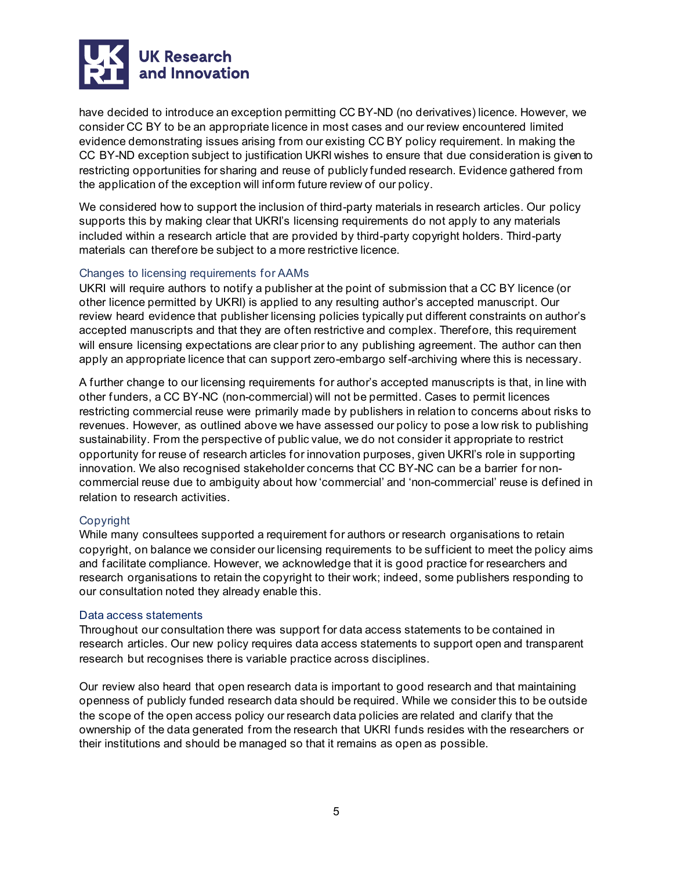

have decided to introduce an exception permitting CC BY-ND (no derivatives) licence. However, we consider CC BY to be an appropriate licence in most cases and our review encountered limited evidence demonstrating issues arising from our existing CC BY policy requirement. In making the CC BY-ND exception subject to justification UKRI wishes to ensure that due consideration is given to restricting opportunities for sharing and reuse of publicly funded research. Evidence gathered from the application of the exception will inform future review of our policy.

We considered how to support the inclusion of third-party materials in research articles. Our policy supports this by making clear that UKRI's licensing requirements do not apply to any materials included within a research article that are provided by third-party copyright holders. Third-party materials can therefore be subject to a more restrictive licence.

# Changes to licensing requirements for AAMs

UKRI will require authors to notify a publisher at the point of submission that a CC BY licence (or other licence permitted by UKRI) is applied to any resulting author's accepted manuscript. Our review heard evidence that publisher licensing policies typically put different constraints on author's accepted manuscripts and that they are often restrictive and complex. Therefore, this requirement will ensure licensing expectations are clear prior to any publishing agreement. The author can then apply an appropriate licence that can support zero-embargo self-archiving where this is necessary.

A further change to our licensing requirements for author's accepted manuscripts is that, in line with other funders, a CC BY-NC (non-commercial) will not be permitted. Cases to permit licences restricting commercial reuse were primarily made by publishers in relation to concerns about risks to revenues. However, as outlined above we have assessed our policy to pose a low risk to publishing sustainability. From the perspective of public value, we do not consider it appropriate to restrict opportunity for reuse of research articles for innovation purposes, given UKRI's role in supporting innovation. We also recognised stakeholder concerns that CC BY-NC can be a barrier for noncommercial reuse due to ambiguity about how 'commercial' and 'non-commercial' reuse is defined in relation to research activities.

# Copyright

While many consultees supported a requirement for authors or research organisations to retain copyright, on balance we consider our licensing requirements to be sufficient to meet the policy aims and facilitate compliance. However, we acknowledge that it is good practice for researchers and research organisations to retain the copyright to their work; indeed, some publishers responding to our consultation noted they already enable this.

#### Data access statements

Throughout our consultation there was support for data access statements to be contained in research articles. Our new policy requires data access statements to support open and transparent research but recognises there is variable practice across disciplines.

Our review also heard that open research data is important to good research and that maintaining openness of publicly funded research data should be required. While we consider this to be outside the scope of the open access policy our research data policies are related and clarify that the ownership of the data generated from the research that UKRI funds resides with the researchers or their institutions and should be managed so that it remains as open as possible.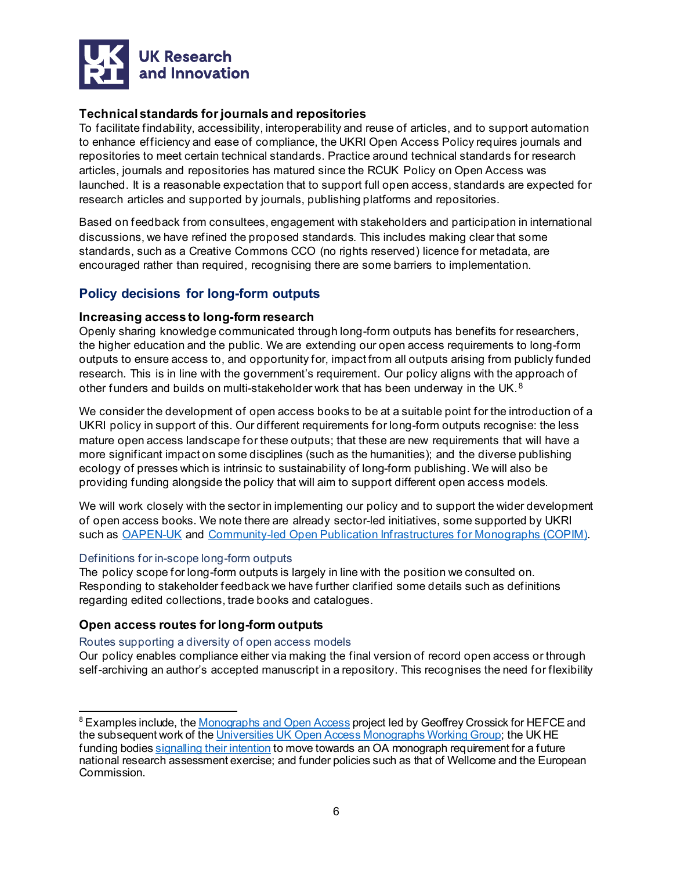

# **Technical standards for journals and repositories**

To facilitate findability, accessibility, interoperability and reuse of articles, and to support automation to enhance efficiency and ease of compliance, the UKRI Open Access Policy requires journals and repositories to meet certain technical standards. Practice around technical standards for research articles, journals and repositories has matured since the RCUK Policy on Open Access was launched. It is a reasonable expectation that to support full open access, standards are expected for research articles and supported by journals, publishing platforms and repositories.

Based on feedback from consultees, engagement with stakeholders and participation in international discussions, we have refined the proposed standards. This includes making clear that some standards, such as a Creative Commons CCO (no rights reserved) licence for metadata, are encouraged rather than required, recognising there are some barriers to implementation.

# **Policy decisions for long-form outputs**

# **Increasing access to long-form research**

Openly sharing knowledge communicated through long-form outputs has benefits for researchers, the higher education and the public. We are extending our open access requirements to long-form outputs to ensure access to, and opportunity for, impact from all outputs arising from publicly funded research. This is in line with the government's requirement. Our policy aligns with the approach of other funders and builds on multi-stakeholder work that has been underway in the UK.<sup>[8](#page-5-0)</sup>

We consider the development of open access books to be at a suitable point for the introduction of a UKRI policy in support of this. Our different requirements for long-form outputs recognise: the less mature open access landscape for these outputs; that these are new requirements that will have a more significant impact on some disciplines (such as the humanities); and the diverse publishing ecology of presses which is intrinsic to sustainability of long-form publishing. We will also be providing funding alongside the policy that will aim to support different open access models.

We will work closely with the sector in implementing our policy and to support the wider development of open access books. We note there are already sector-led initiatives, some supported by UKRI such as [OAPEN-UK](https://ahrc.ukri.org/about/policies/openaccess/oapen-uk/) and [Community-led Open Publication Infrastructures for Monographs \(COPIM\).](https://www.copim.ac.uk/)

#### Definitions for in-scope long-form outputs

The policy scope for long-form outputs is largely in line with the position we consulted on. Responding to stakeholder feedback we have further clarified some details such as definitions regarding edited collections, trade books and catalogues.

# **Open access routes for long-form outputs**

#### Routes supporting a diversity of open access models

Our policy enables compliance either via making the final version of record open access or through self-archiving an author's accepted manuscript in a repository. This recognises the need for flexibility

<span id="page-5-0"></span><sup>&</sup>lt;sup>8</sup> Examples include, th[e Monographs and Open Access](https://insights.uksg.org/articles/10.1629/uksg.280/) project led by Geoffrey Crossick for HEFCE and the subsequent work of th[e Universities UK Open Access Monographs Working Group](https://www.universitiesuk.ac.uk/policy-and-analysis/research-policy/open-science/Pages/open-access-monographs.aspx); the UK HE funding bodies signalling [their intention](https://re.ukri.org/research/open-access-research/) to move towards an OA monograph requirement for a future national research assessment exercise; and funder policies such as that of Wellcome and the European Commission.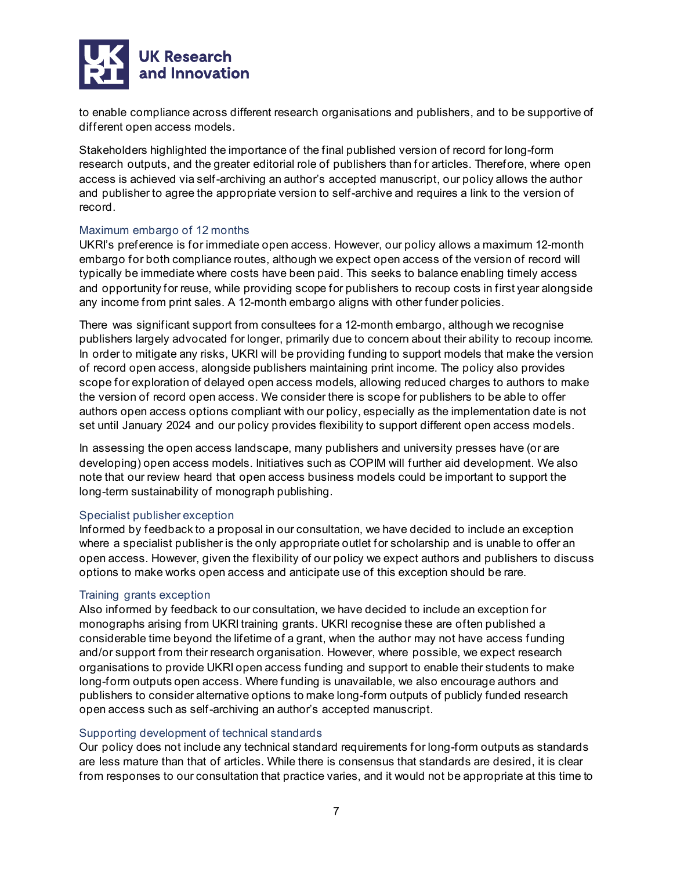

to enable compliance across different research organisations and publishers, and to be supportive of different open access models.

Stakeholders highlighted the importance of the final published version of record for long-form research outputs, and the greater editorial role of publishers than for articles. Therefore, where open access is achieved via self-archiving an author's accepted manuscript, our policy allows the author and publisher to agree the appropriate version to self-archive and requires a link to the version of record.

# Maximum embargo of 12 months

UKRI's preference is for immediate open access. However, our policy allows a maximum 12-month embargo for both compliance routes, although we expect open access of the version of record will typically be immediate where costs have been paid. This seeks to balance enabling timely access and opportunity for reuse, while providing scope for publishers to recoup costs in first year alongside any income from print sales. A 12-month embargo aligns with other funder policies.

There was significant support from consultees for a 12-month embargo, although we recognise publishers largely advocated for longer, primarily due to concern about their ability to recoup income. In order to mitigate any risks, UKRI will be providing funding to support models that make the version of record open access, alongside publishers maintaining print income. The policy also provides scope for exploration of delayed open access models, allowing reduced charges to authors to make the version of record open access. We consider there is scope for publishers to be able to offer authors open access options compliant with our policy, especially as the implementation date is not set until January 2024 and our policy provides flexibility to support different open access models.

In assessing the open access landscape, many publishers and university presses have (or are developing) open access models. Initiatives such as COPIM will further aid development. We also note that our review heard that open access business models could be important to support the long-term sustainability of monograph publishing.

# Specialist publisher exception

Informed by feedback to a proposal in our consultation, we have decided to include an exception where a specialist publisher is the only appropriate outlet for scholarship and is unable to offer an open access. However, given the flexibility of our policy we expect authors and publishers to discuss options to make works open access and anticipate use of this exception should be rare.

# Training grants exception

Also informed by feedback to our consultation, we have decided to include an exception for monographs arising from UKRI training grants. UKRI recognise these are often published a considerable time beyond the lifetime of a grant, when the author may not have access funding and/or support from their research organisation. However, where possible, we expect research organisations to provide UKRI open access funding and support to enable their students to make long-form outputs open access. Where funding is unavailable, we also encourage authors and publishers to consider alternative options to make long-form outputs of publicly funded research open access such as self-archiving an author's accepted manuscript.

# Supporting development of technical standards

Our policy does not include any technical standard requirements for long-form outputs as standards are less mature than that of articles. While there is consensus that standards are desired, it is clear from responses to our consultation that practice varies, and it would not be appropriate at this time to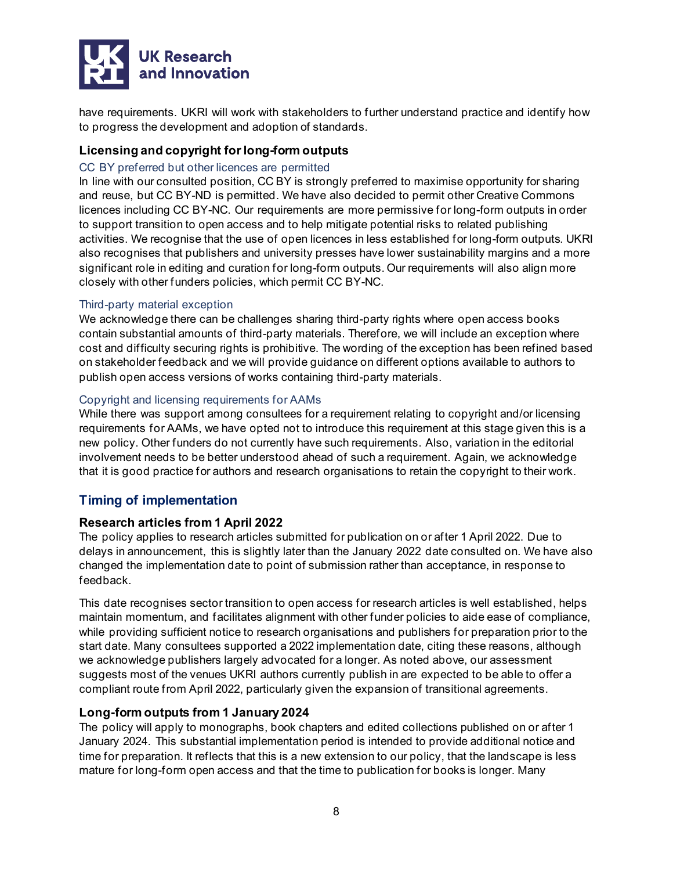

have requirements. UKRI will work with stakeholders to further understand practice and identify how to progress the development and adoption of standards.

# **Licensing and copyright for long-form outputs**

# CC BY preferred but other licences are permitted

In line with our consulted position, CC BY is strongly preferred to maximise opportunity for sharing and reuse, but CC BY-ND is permitted. We have also decided to permit other Creative Commons licences including CC BY-NC. Our requirements are more permissive for long-form outputs in order to support transition to open access and to help mitigate potential risks to related publishing activities. We recognise that the use of open licences in less established for long-form outputs. UKRI also recognises that publishers and university presses have lower sustainability margins and a more significant role in editing and curation for long-form outputs. Our requirements will also align more closely with other funders policies, which permit CC BY-NC.

# Third-party material exception

We acknowledge there can be challenges sharing third-party rights where open access books contain substantial amounts of third-party materials. Therefore, we will include an exception where cost and difficulty securing rights is prohibitive. The wording of the exception has been refined based on stakeholder feedback and we will provide guidance on different options available to authors to publish open access versions of works containing third-party materials.

# Copyright and licensing requirements for AAMs

While there was support among consultees for a requirement relating to copyright and/or licensing requirements for AAMs, we have opted not to introduce this requirement at this stage given this is a new policy. Other funders do not currently have such requirements. Also, variation in the editorial involvement needs to be better understood ahead of such a requirement. Again, we acknowledge that it is good practice for authors and research organisations to retain the copyright to their work.

# **Timing of implementation**

# **Research articles from 1 April 2022**

The policy applies to research articles submitted for publication on or after 1 April 2022. Due to delays in announcement, this is slightly later than the January 2022 date consulted on. We have also changed the implementation date to point of submission rather than acceptance, in response to feedback.

This date recognises sector transition to open access for research articles is well established, helps maintain momentum, and facilitates alignment with other funder policies to aide ease of compliance, while providing sufficient notice to research organisations and publishers for preparation prior to the start date. Many consultees supported a 2022 implementation date, citing these reasons, although we acknowledge publishers largely advocated for a longer. As noted above, our assessment suggests most of the venues UKRI authors currently publish in are expected to be able to offer a compliant route from April 2022, particularly given the expansion of transitional agreements.

# **Long-form outputs from 1 January 2024**

The policy will apply to monographs, book chapters and edited collections published on or after 1 January 2024. This substantial implementation period is intended to provide additional notice and time for preparation. It reflects that this is a new extension to our policy, that the landscape is less mature for long-form open access and that the time to publication for books is longer. Many